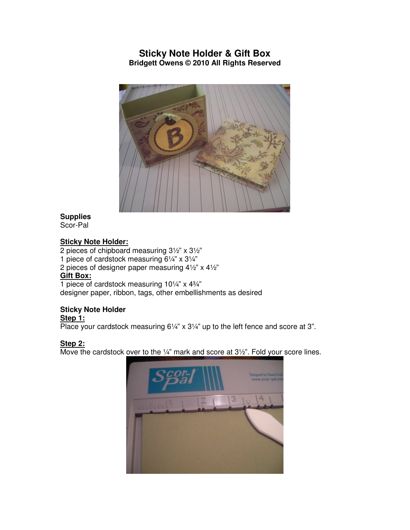# **Sticky Note Holder & Gift Box Bridgett Owens © 2010 All Rights Reserved**



# **Supplies**

Scor-Pal

#### **Sticky Note Holder:**

2 pieces of chipboard measuring 3½" x 3½"

- 1 piece of cardstock measuring 6¼" x 3¼"
- 2 pieces of designer paper measuring 4½" x 4½"

#### **Gift Box:**

1 piece of cardstock measuring 10¼" x 4¾" designer paper, ribbon, tags, other embellishments as desired

## **Sticky Note Holder**

## **Step 1:**

Place your cardstock measuring 6¼" x 3¼" up to the left fence and score at 3".

## **Step 2:**

Move the cardstock over to the 1/4" mark and score at 31/2". Fold your score lines.

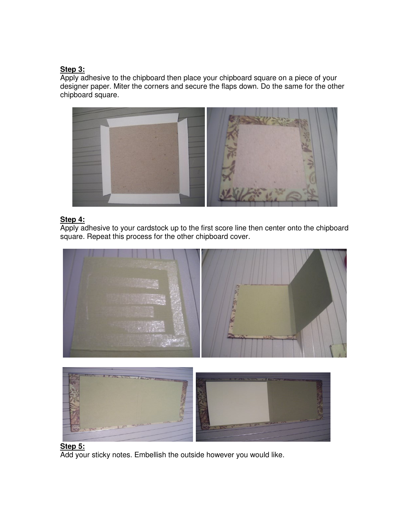#### **Step 3:**

Apply adhesive to the chipboard then place your chipboard square on a piece of your designer paper. Miter the corners and secure the flaps down. Do the same for the other chipboard square.



## **Step 4:**

Apply adhesive to your cardstock up to the first score line then center onto the chipboard square. Repeat this process for the other chipboard cover.





# **Step 5:**

Add your sticky notes. Embellish the outside however you would like.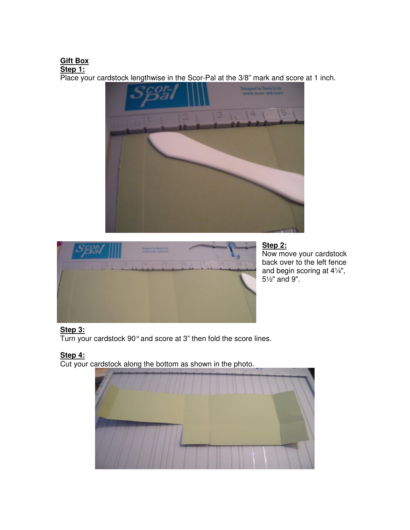# **Gift Box**

**Step 1:**

Place your cardstock lengthwise in the Scor-Pal at the 3/8" mark and score at 1 inch.





# **Step 2:**

Now move your cardstock back over to the left fence and begin scoring at 4¼", 5½" and 9".

# **Step 3:**

Turn your cardstock 90° and score at 3" then fold the score lines.

# **Step 4:**

Cut your cardstock along the bottom as shown in the photo.

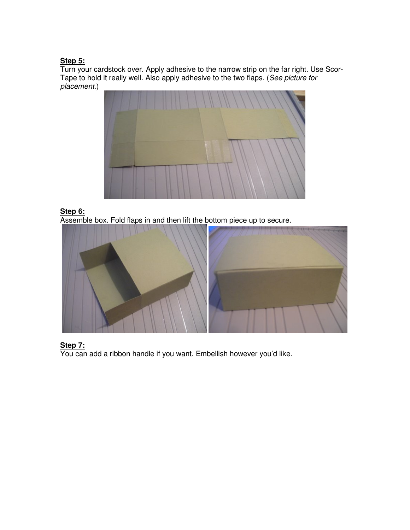## **Step 5:**

Turn your cardstock over. Apply adhesive to the narrow strip on the far right. Use Scor-Tape to hold it really well. Also apply adhesive to the two flaps. (See picture for placement.)



#### **Step 6:**

Assemble box. Fold flaps in and then lift the bottom piece up to secure.



## **Step 7:**

You can add a ribbon handle if you want. Embellish however you'd like.